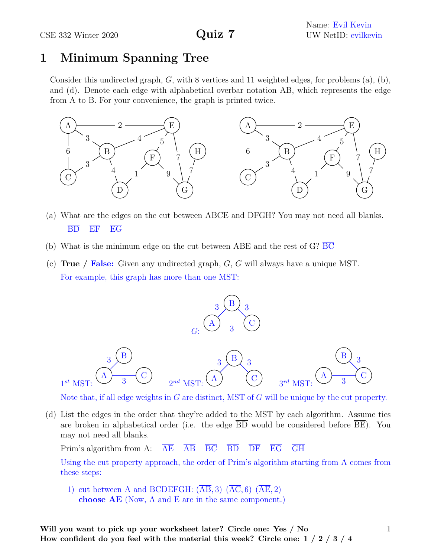## **1 Minimum Spanning Tree**

Consider this undirected graph, *G*, with 8 vertices and 11 weighted edges, for problems (a), (b), and (d). Denote each edge with alphabetical overbar notation AB, which represents the edge from A to B. For your convenience, the graph is printed twice.



- (a) What are the edges on the cut between ABCE and DFGH? You may not need all blanks. BD EF EG
- (b) What is the minimum edge on the cut between ABE and the rest of G?  $\overline{BC}$
- (c) **True / False:** Given any undirected graph, *G*, *G* will always have a unique MST. For example, this graph has more than one MST:



Note that, if all edge weights in *G* are distinct, MST of *G* will be unique by the cut property.

(d) List the edges in the order that they're added to the MST by each algorithm. Assume ties are broken in alphabetical order (i.e. the edge BD would be considered before BE). You may not need all blanks.

Prim's algorithm from A:  $\underline{AE}$   $\underline{AB}$ 

Using the cut property approach, the order of Prim's algorithm starting from A comes from these steps:

1) cut between A and BCDEFGH:  $(\overline{AB}, 3)$   $(\overline{AC}, 6)$   $(\overline{AE}, 2)$ **choose AE** (Now, A and E are in the same component.)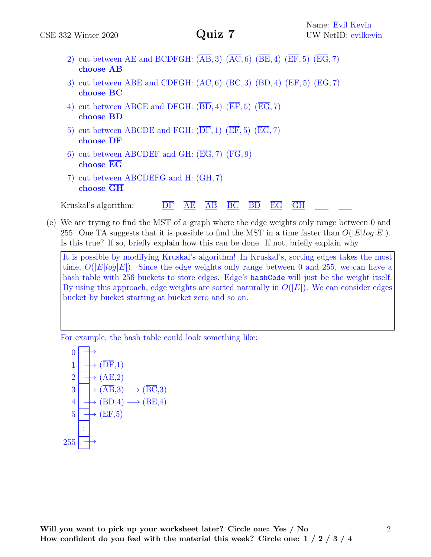| CSE 332 Winter 2020                                                                                 | Quiz 7                                                                                                                                 | Name: Evil Kevin<br>UW NetID: evilkevin                                                               |
|-----------------------------------------------------------------------------------------------------|----------------------------------------------------------------------------------------------------------------------------------------|-------------------------------------------------------------------------------------------------------|
| choose AB                                                                                           | 2) cut between AE and BCDFGH: $(\overline{AB}, 3)$ $(\overline{AC}, 6)$ $(\overline{BE}, 4)$ $(\overline{EF}, 5)$ $(\overline{EG}, 7)$ |                                                                                                       |
| choose BC                                                                                           | 3) cut between ABE and CDFGH: $(\overline{AC}, 6)$ $(\overline{BC}, 3)$ $(\overline{BD}, 4)$ $(\overline{EF}, 5)$ $(\overline{EG}, 7)$ |                                                                                                       |
| choose $\overline{BD}$                                                                              | 4) cut between ABCE and DFGH: $(\overline{BD}, 4)$ $(\overline{EF}, 5)$ $(\overline{EG}, 7)$                                           |                                                                                                       |
| $choose \overline{DF}$                                                                              | 5) cut between ABCDE and FGH: $(\overline{\text{DF}}, 1)$ $(\overline{\text{EF}}, 5)$ $(\overline{\text{EG}}, 7)$                      |                                                                                                       |
| 6) cut between ABCDEF and GH: $(\overline{EG}, 7)$ $(\overline{FG}, 9)$<br>$choose$ $\overline{EG}$ |                                                                                                                                        |                                                                                                       |
| 7) cut between ABCDEFG and H: (GH, 7)<br>choose GH                                                  |                                                                                                                                        |                                                                                                       |
| Kruskal's algorithm:                                                                                | $\overline{BC}$<br>$\overline{\mathrm{BD}}$ $\overline{\mathrm{EG}}$<br>$\overline{AB}$<br>AE<br>DF                                    | $\rm GH$                                                                                              |
|                                                                                                     |                                                                                                                                        | $\epsilon$ ) We are trying to find the MST of a graph where the edge weights only range between 0 and |

(e) We are trying to find the MST of a graph where the edge weights only range between 0 and 255. One TA suggests that it is possible to find the MST in a time faster than  $O(|E| \log |E|)$ . Is this true? If so, briefly explain how this can be done. If not, briefly explain why.

It is possible by modifying Kruskal's algorithm! In Kruskal's, sorting edges takes the most time,  $O(|E|log|E|)$ . Since the edge weights only range between 0 and 255, we can have a hash table with 256 buckets to store edges. Edge's hashCode will just be the weight itself. By using this approach, edge weights are sorted naturally in  $O(|E|)$ . We can consider edges bucket by bucket starting at bucket zero and so on.

For example, the hash table could look something like:

$$
\begin{array}{c}\n0 \rightarrow \\
1 \rightarrow (\overline{\text{DF}}, 1) \\
2 \rightarrow (\overline{\text{AE}}, 2) \\
3 \rightarrow (\overline{\text{AB}}, 3) \rightarrow (\overline{\text{BC}}, 3) \\
4 \rightarrow (\overline{\text{BD}}, 4) \rightarrow (\overline{\text{BE}}, 4) \\
5 \rightarrow (\overline{\text{EF}}, 5) \\
255 \rightarrow \\
\end{array}
$$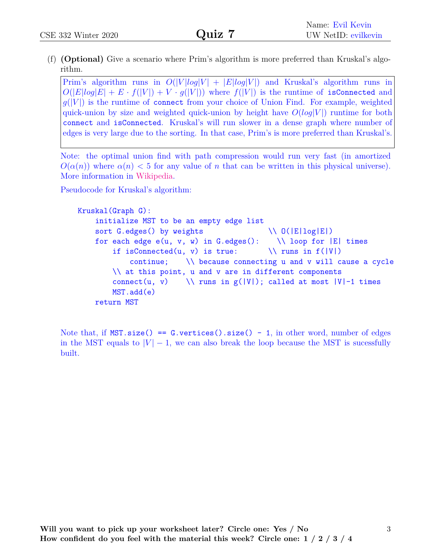(f) **(Optional)** Give a scenario where Prim's algorithm is more preferred than Kruskal's algorithm.

Prim's algorithm runs in  $O(|V|log|V| + |E|log|V|)$  and Kruskal's algorithm runs in  $O(|E|log|E| + E \cdot f(|V|) + V \cdot g(|V|)$  where  $f(|V|)$  is the runtime of isConnected and  $g(|V|)$  is the runtime of connect from your choice of Union Find. For example, weighted quick-union by size and weighted quick-union by height have  $O(log|V|)$  runtime for both connect and isConnected. Kruskal's will run slower in a dense graph where number of edges is very large due to the sorting. In that case, Prim's is more preferred than Kruskal's.

Note: the optimal union find with path compression would run very fast (in amortized  $O(\alpha(n))$  where  $\alpha(n)$  < 5 for any value of *n* that can be written in this physical universe). More information in [Wikipedia.](https://en.wikipedia.org/wiki/Disjoint-set_data_structure#Time_complexity)

Pseudocode for Kruskal's algorithm:

```
Kruskal(Graph G):
   initialize MST to be an empty edge list
   sort G. edges() by weights \setminus \ O(|E|\log|E|)for each edge e(u, v, w) in G.edges(): \\ loop for |E| times
        if isConnected(u, v) is true: \setminus \mathcal{V} runs in f(|V|)continue; \\ because connecting u and v will cause a cycle
        \\ at this point, u and v are in different components
        connect(u, v) \\ runs in g(|V|); called at most |V|-1 times
        MST.add(e)
   return MST
```
Note that, if  $MST.size() == G.f. vertices().size() - 1$ , in other word</u>, number of edges in the MST equals to  $|V| - 1$ , we can also break the loop because the MST is sucessfully built.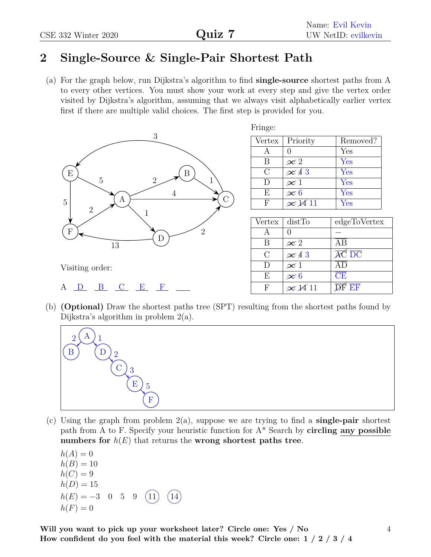## **2 Single-Source & Single-Pair Shortest Path**

(a) For the graph below, run Dijkstra's algorithm to find **single-source** shortest paths from A to every other vertices. You must show your work at every step and give the vertex order visited by Dijkstra's algorithm, assuming that we always visit alphabetically earlier vertex first if there are multiple valid choices. The first step is provided for you.



| Fringe:  |                         |                      |
|----------|-------------------------|----------------------|
| Vertex   | Priority                | Removed?             |
|          |                         | Yes                  |
| B        | $\infty$ $2$            | Yes                  |
| $\Gamma$ | $\overline{\infty}$ 4 3 | Yes                  |
| I)       | $\infty$ 1              | Yes                  |
| E        | $\infty$ 6              | Yes                  |
| H        | $\overline{\infty}$ 11  | $\operatorname{Yes}$ |

| Vertex        | distTo                | edgeToVertex                    |
|---------------|-----------------------|---------------------------------|
|               |                       |                                 |
| В             | $\infty$ $2$          | ΑR                              |
| $\mathcal{C}$ | $\infty$ 43           | $\overline{AC}$ $\overline{DC}$ |
| Ð             | $\overline{\infty}$ 1 |                                 |
| E             | $\infty$ 6            | CE                              |
| F             | $\infty$ 14 11        | $\overline{F}$ $\overline{F}$   |

(b) **(Optional)** Draw the shortest paths tree (SPT) resulting from the shortest paths found by Dijkstra's algorithm in problem 2(a).



(c) Using the graph from problem 2(a), suppose we are trying to find a **single-pair** shortest path from A to F. Specify your heuristic function for A\* Search by **circling any possible numbers for**  $h(E)$  that returns the **wrong shortest paths tree**.

 $h(A) = 0$  $h(B) = 10$  $h(C) = 9$  $h(D) = 15$  $h(E) = -3$  0 5 9 (11) (14  $h(F) = 0$